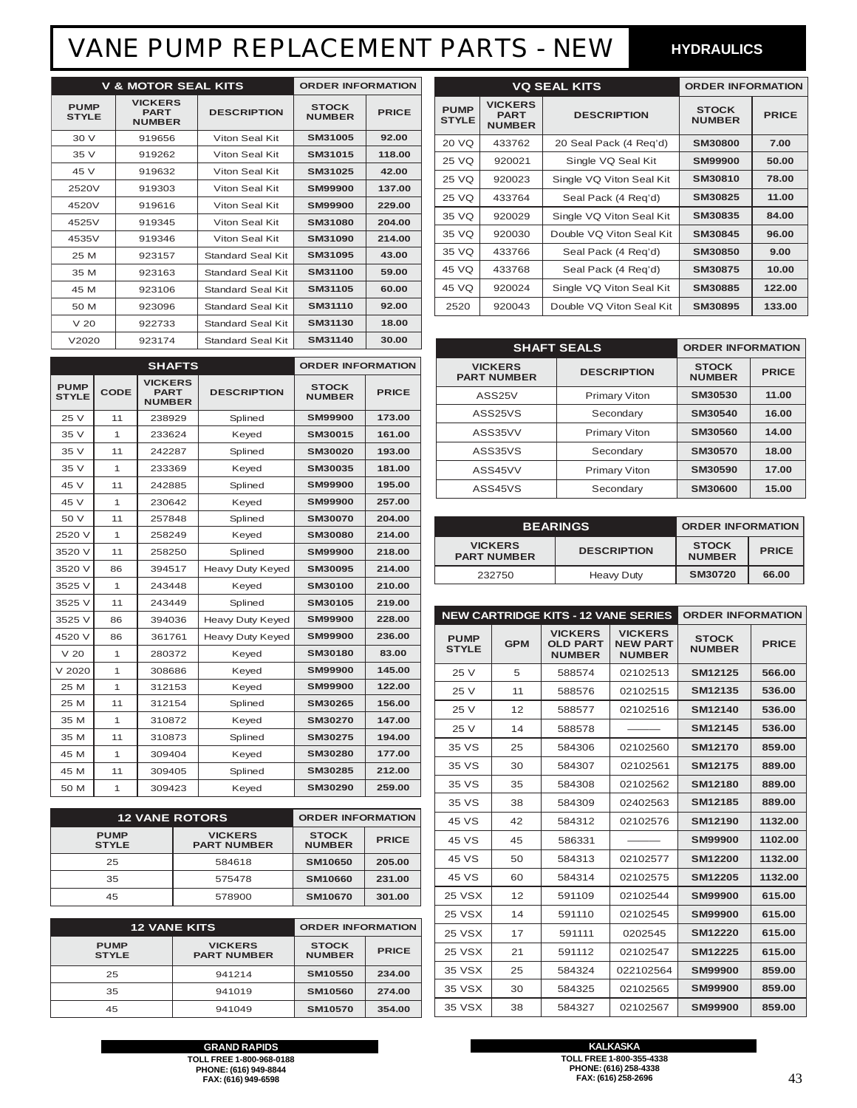### VANE PUMP REPLACEMENT PARTS - NEW

**HYDRAULICS**

| <b>V &amp; MOTOR SEAL KITS</b> |                                                |                    | <b>ORDER INFORMATION</b>      |              |
|--------------------------------|------------------------------------------------|--------------------|-------------------------------|--------------|
| <b>PUMP</b><br><b>STYLE</b>    | <b>VICKERS</b><br><b>PART</b><br><b>NUMBER</b> | <b>DESCRIPTION</b> | <b>STOCK</b><br><b>NUMBER</b> | <b>PRICE</b> |
| 30 V                           | 919656                                         | Viton Seal Kit     | SM31005                       | 92.00        |
| 35 V                           | 919262                                         | Viton Seal Kit     | SM31015                       | 118.00       |
| 45 V                           | 919632                                         | Viton Seal Kit     | SM31025                       | 42.00        |
| 2520V                          | 919303                                         | Viton Seal Kit     | <b>SM99900</b>                | 137.00       |
| 4520V                          | 919616                                         | Viton Seal Kit     | SM99900                       | 229.00       |
| 4525V                          | 919345                                         | Viton Seal Kit     | SM31080                       | 204.00       |
| 4535V                          | 919346                                         | Viton Seal Kit     | SM31090                       | 214.00       |
| 25 M                           | 923157                                         | Standard Seal Kit  | SM31095                       | 43.00        |
| 35 M                           | 923163                                         | Standard Seal Kit  | SM31100                       | 59.00        |
| 45 M                           | 923106                                         | Standard Seal Kit  | SM31105                       | 60.00        |
| 50 M                           | 923096                                         | Standard Seal Kit  | SM31110                       | 92.00        |
| V <sub>20</sub>                | 922733                                         | Standard Seal Kit  | SM31130                       | 18.00        |
| V2020                          | 923174                                         | Standard Seal Kit  | SM31140                       | 30.00        |

|                             | <b>SHAFTS</b> |                                                |                    | <b>ORDER INFORMATION</b>      |              |
|-----------------------------|---------------|------------------------------------------------|--------------------|-------------------------------|--------------|
| <b>PUMP</b><br><b>STYLE</b> | <b>CODE</b>   | <b>VICKERS</b><br><b>PART</b><br><b>NUMBER</b> | <b>DESCRIPTION</b> | <b>STOCK</b><br><b>NUMBER</b> | <b>PRICE</b> |
| 25 V                        | 11            | 238929                                         | Splined            | <b>SM99900</b>                | 173.00       |
| 35 V                        | 1             | 233624                                         | Keyed              | SM30015                       | 161.00       |
| 35 V                        | 11            | 242287                                         | Splined            | SM30020                       | 193.00       |
| 35 V                        | 1             | 233369                                         | Keyed              | SM30035                       | 181.00       |
| 45 V                        | 11            | 242885                                         | Splined            | <b>SM99900</b>                | 195.00       |
| 45 V                        | 1             | 230642                                         | Keyed              | <b>SM99900</b>                | 257.00       |
| 50 V                        | 11            | 257848                                         | Splined            | <b>SM30070</b>                | 204.00       |
| 2520 V                      | 1             | 258249                                         | Keyed              | <b>SM30080</b>                | 214.00       |
| 3520 V                      | 11            | 258250                                         | Splined            | <b>SM99900</b>                | 218.00       |
| 3520 V                      | 86            | 394517                                         | Heavy Duty Keyed   | SM30095                       | 214.00       |
| 3525 V                      | 1             | 243448                                         | Keyed              | SM30100                       | 210.00       |
| 3525 V                      | 11            | 243449                                         | Splined            | SM30105                       | 219.00       |
| 3525 V                      | 86            | 394036                                         | Heavy Duty Keyed   | <b>SM99900</b>                | 228.00       |
| 4520 V                      | 86            | 361761                                         | Heavy Duty Keyed   | <b>SM99900</b>                | 236.00       |
| V <sub>20</sub>             | 1             | 280372                                         | Keyed              | SM30180                       | 83.00        |
| $V$ 2020                    | 1             | 308686                                         | Keyed              | <b>SM99900</b>                | 145.00       |
| 25 M                        | 1             | 312153                                         | Keyed              | <b>SM99900</b>                | 122.00       |
| 25 M                        | 11            | 312154                                         | Splined            | SM30265                       | 156.00       |
| 35 M                        | 1             | 310872                                         | Keyed              | SM30270                       | 147.00       |
| 35 M                        | 11            | 310873                                         | Splined            | SM30275                       | 194.00       |
| 45 M                        | 1             | 309404                                         | Keyed              | SM30280                       | 177.00       |
| 45 M                        | 11            | 309405                                         | Splined            | SM30285                       | 212.00       |
| 50 M                        | 1             | 309423                                         | Keyed              | SM30290                       | 259.00       |

| <b>12 VANE ROTORS</b>       | <b>ORDER INFORMATION</b>             |                               |              |
|-----------------------------|--------------------------------------|-------------------------------|--------------|
| <b>PUMP</b><br><b>STYLE</b> | <b>VICKERS</b><br><b>PART NUMBER</b> | <b>STOCK</b><br><b>NUMBER</b> | <b>PRICE</b> |
| 25                          | 584618                               | SM10650                       | 205.00       |
| 35                          | 575478                               | <b>SM10660</b>                | 231.00       |
| 45                          | 578900                               | <b>SM10670</b>                | 301.00       |

| <b>12 VANE KITS</b>         | <b>ORDER INFORMATION</b>             |                               |              |
|-----------------------------|--------------------------------------|-------------------------------|--------------|
| <b>PUMP</b><br><b>STYLE</b> | <b>VICKERS</b><br><b>PART NUMBER</b> | <b>STOCK</b><br><b>NUMBER</b> | <b>PRICE</b> |
| 25                          | 941214                               | SM10550                       | 234.00       |
| 35                          | 941019                               | <b>SM10560</b>                | 274.00       |
| 45                          | 941049                               | <b>SM10570</b>                | 354.00       |

| <b>VQ SEAL KITS</b>         |                                                |                          | <b>ORDER INFORMATION</b>      |              |
|-----------------------------|------------------------------------------------|--------------------------|-------------------------------|--------------|
| <b>PUMP</b><br><b>STYLE</b> | <b>VICKERS</b><br><b>PART</b><br><b>NUMBER</b> | <b>DESCRIPTION</b>       | <b>STOCK</b><br><b>NUMBER</b> | <b>PRICE</b> |
| 20 VQ                       | 433762                                         | 20 Seal Pack (4 Reg'd)   | <b>SM30800</b>                | 7.00         |
| 25 VQ                       | 920021                                         | Single VQ Seal Kit       | SM99900                       | 50.00        |
| 25 VQ                       | 920023                                         | Single VQ Viton Seal Kit | SM30810                       | 78.00        |
| 25 VQ                       | 433764                                         | Seal Pack (4 Reg'd)      | SM30825                       | 11.00        |
| 35 VQ                       | 920029                                         | Single VQ Viton Seal Kit | SM30835                       | 84.00        |
| 35 VQ                       | 920030                                         | Double VQ Viton Seal Kit | SM30845                       | 96.00        |
| 35 VQ                       | 433766                                         | Seal Pack (4 Reg'd)      | SM30850                       | 9.00         |
| 45 VQ                       | 433768                                         | Seal Pack (4 Reg'd)      | SM30875                       | 10.00        |
| 45 VQ                       | 920024                                         | Single VQ Viton Seal Kit | SM30885                       | 122.00       |
| 2520                        | 920043                                         | Double VQ Viton Seal Kit | SM30895                       | 133.00       |

| <b>SHAFT SEALS</b>                   | <b>ORDER INFORMATION</b> |                               |              |
|--------------------------------------|--------------------------|-------------------------------|--------------|
| <b>VICKERS</b><br><b>PART NUMBER</b> | <b>DESCRIPTION</b>       | <b>STOCK</b><br><b>NUMBER</b> | <b>PRICE</b> |
| ASS <sub>25</sub> V                  | <b>Primary Viton</b>     | SM30530                       | 11.00        |
| ASS <sub>25</sub> VS                 | Secondary                | SM30540                       | 16.00        |
| ASS35VV                              | <b>Primary Viton</b>     | SM30560                       | 14.00        |
| ASS35VS                              | Secondary                | SM30570                       | 18.00        |
| ASS45VV                              | <b>Primary Viton</b>     | SM30590                       | 17.00        |
| ASS45VS                              | Secondary                | <b>SM30600</b>                | 15.00        |

| <b>BEARINGS</b>                      | <b>ORDER INFORMATION</b> |                               |              |
|--------------------------------------|--------------------------|-------------------------------|--------------|
| <b>VICKERS</b><br><b>PART NUMBER</b> | <b>DESCRIPTION</b>       | <b>STOCK</b><br><b>NUMBER</b> | <b>PRICE</b> |
| 232750                               | Heavy Duty               | SM30720                       | 66.00        |

| <b>NEW CARTRIDGE KITS - 12 VANE SERIES</b> |            |                                                    |                                                    | <b>ORDER INFORMATION</b>      |              |
|--------------------------------------------|------------|----------------------------------------------------|----------------------------------------------------|-------------------------------|--------------|
| <b>PUMP</b><br><b>STYLE</b>                | <b>GPM</b> | <b>VICKERS</b><br><b>OLD PART</b><br><b>NUMBER</b> | <b>VICKERS</b><br><b>NEW PART</b><br><b>NUMBER</b> | <b>STOCK</b><br><b>NUMBER</b> | <b>PRICE</b> |
| 25 V                                       | 5          | 588574                                             | 02102513                                           | SM12125                       | 566.00       |
| 25 V                                       | 11         | 588576                                             | 02102515                                           | SM12135                       | 536.00       |
| 25 V                                       | 12         | 588577                                             | 02102516                                           | <b>SM12140</b>                | 536.00       |
| 25 V                                       | 14         | 588578                                             |                                                    | SM12145                       | 536.00       |
| 35 VS                                      | 25         | 584306                                             | 02102560                                           | <b>SM12170</b>                | 859.00       |
| 35 VS                                      | 30         | 584307                                             | 02102561                                           | <b>SM12175</b>                | 889.00       |
| 35 VS                                      | 35         | 584308                                             | 02102562                                           | SM12180                       | 889.00       |
| 35 VS                                      | 38         | 584309                                             | 02402563                                           | SM12185                       | 889.00       |
| 45 VS                                      | 42         | 584312                                             | 02102576                                           | SM12190                       | 1132.00      |
| 45 VS                                      | 45         | 586331                                             |                                                    | <b>SM99900</b>                | 1102.00      |
| 45 VS                                      | 50         | 584313                                             | 02102577                                           | <b>SM12200</b>                | 1132.00      |
| 45 VS                                      | 60         | 584314                                             | 02102575                                           | SM12205                       | 1132.00      |
| <b>25 VSX</b>                              | 12         | 591109                                             | 02102544                                           | <b>SM99900</b>                | 615.00       |
| <b>25 VSX</b>                              | 14         | 591110                                             | 02102545                                           | <b>SM99900</b>                | 615.00       |
| <b>25 VSX</b>                              | 17         | 591111                                             | 0202545                                            | <b>SM12220</b>                | 615.00       |
| <b>25 VSX</b>                              | 21         | 591112                                             | 02102547                                           | <b>SM12225</b>                | 615.00       |
| 35 VSX                                     | 25         | 584324                                             | 022102564                                          | <b>SM99900</b>                | 859.00       |
| 35 VSX                                     | 30         | 584325                                             | 02102565                                           | <b>SM99900</b>                | 859.00       |
| 35 VSX                                     | 38         | 584327                                             | 02102567                                           | <b>SM99900</b>                | 859.00       |

**GRAND RAPIDS TOLL FREE 1-800-968-0188 PHONE: (616) 949-8844 FAX: (616) 949-6598**

**KALKASKA TOLL FREE 1-800-355-4338 PHONE: (616) 258-4338 FAX: (616) 258-2696**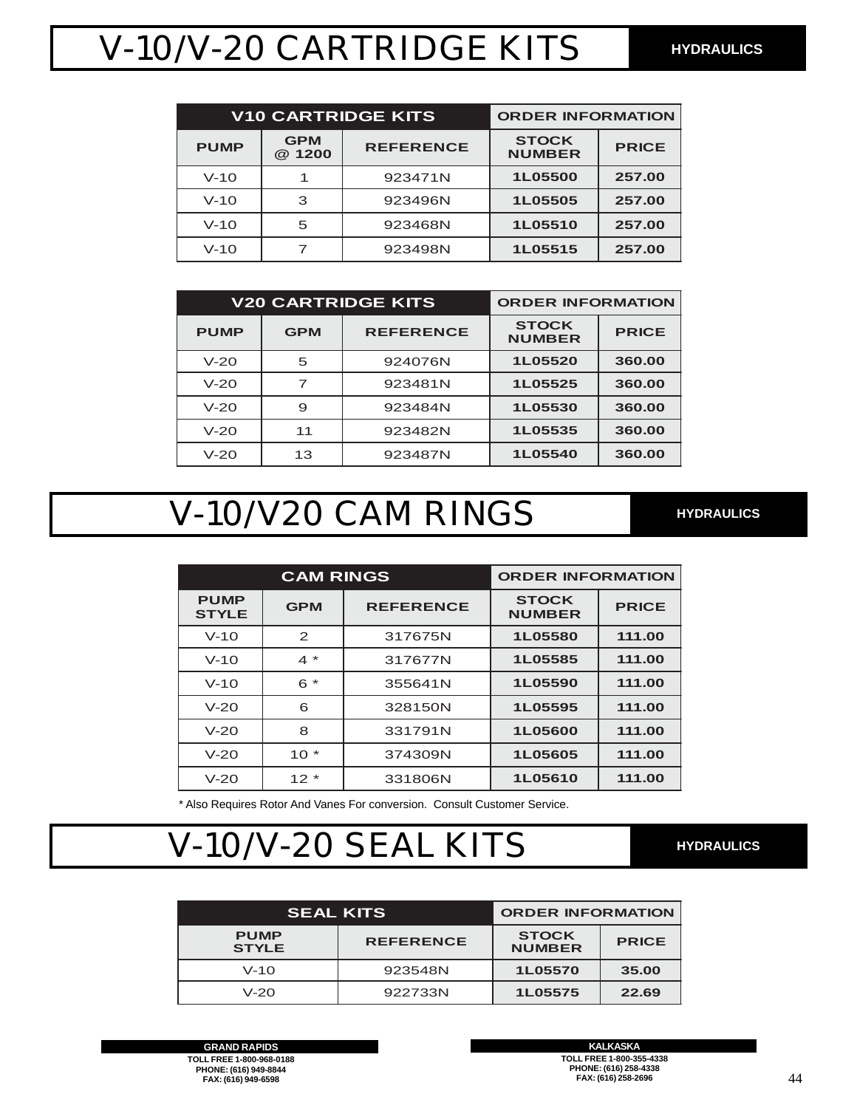# V-10/V-20 CARTRIDGE KITS

| <b>V10 CARTRIDGE KITS</b> |                      | <b>ORDER INFORMATION</b> |                               |              |
|---------------------------|----------------------|--------------------------|-------------------------------|--------------|
| <b>PUMP</b>               | <b>GPM</b><br>@ 1200 | <b>REFERENCE</b>         | <b>STOCK</b><br><b>NUMBER</b> | <b>PRICE</b> |
| $V-10$                    |                      | 923471N                  | 1L05500                       | 257.00       |
| $V-10$                    | 3                    | 923496N                  | 1L05505                       | 257.00       |
| $V-10$                    | 5                    | 923468N                  | 1L05510                       | 257.00       |
| $V-10$                    |                      | 923498N                  | 1L05515                       | 257.00       |

| <b>V20 CARTRIDGE KITS</b> |            |                  | <b>ORDER INFORMATION</b>      |              |
|---------------------------|------------|------------------|-------------------------------|--------------|
| <b>PUMP</b>               | <b>GPM</b> | <b>REFERENCE</b> | <b>STOCK</b><br><b>NUMBER</b> | <b>PRICE</b> |
| $V-20$                    | 5          | 924076N          | 1L05520                       | 360.00       |
| $V-20$                    |            | 923481N          | 1L05525                       | 360.00       |
| $V-20$                    | 9          | 923484N          | 1L05530                       | 360.00       |
| $V-20$                    | 11         | 923482N          | 1L05535                       | 360.00       |
| $V-20$                    | 13         | 923487N          | 1L05540                       | 360.00       |

### V-10/V20 CAM RINGS **HYDRAULICS**

| <b>CAM RINGS</b>            |              |                  | <b>ORDER INFORMATION</b>      |              |
|-----------------------------|--------------|------------------|-------------------------------|--------------|
| <b>PUMP</b><br><b>STYLE</b> | <b>GPM</b>   | <b>REFERENCE</b> | <b>STOCK</b><br><b>NUMBER</b> | <b>PRICE</b> |
| $V-10$                      | 2            | 317675N          | 1L05580                       | 111.00       |
| $V-10$                      | $4 *$        | 317677N          | 1L05585                       | 111.00       |
| $V-10$                      | $\star$<br>6 | 355641N          | 1L05590                       | 111.00       |
| $V-20$                      | 6            | 328150N          | 1L05595                       | 111.00       |
| $V-20$                      | 8            | 331791N          | 1L05600                       | 111.00       |
| $V-20$                      | $10*$        | 374309N          | 1L05605                       | 111.00       |
| $V-20$                      | $12*$        | 331806N          | 1L05610                       | 111.00       |

\* Also Requires Rotor And Vanes For conversion. Consult Customer Service.

## V-10/V-20 SEAL KITS **HYDRAULICS**

| <b>SEAL KITS</b>            | <b>ORDER INFORMATION</b> |                               |              |
|-----------------------------|--------------------------|-------------------------------|--------------|
| <b>PUMP</b><br><b>STYLE</b> | <b>REFERENCE</b>         | <b>STOCK</b><br><b>NUMBER</b> | <b>PRICE</b> |
| $V-10$                      | 923548N                  | 1L05570                       | 35.00        |
| $V-20$                      | 922733N                  | 1L05575                       | 22.69        |

**GRAND RAPIDS TOLL FREE 1-800-968-0188 PHONE: (616) 949-8844 FAX: (616) 949-6598**

**KALKASKA TOLL FREE 1-800-355-4338 PHONE: (616) 258-4338 FAX: (616) 258-2696**